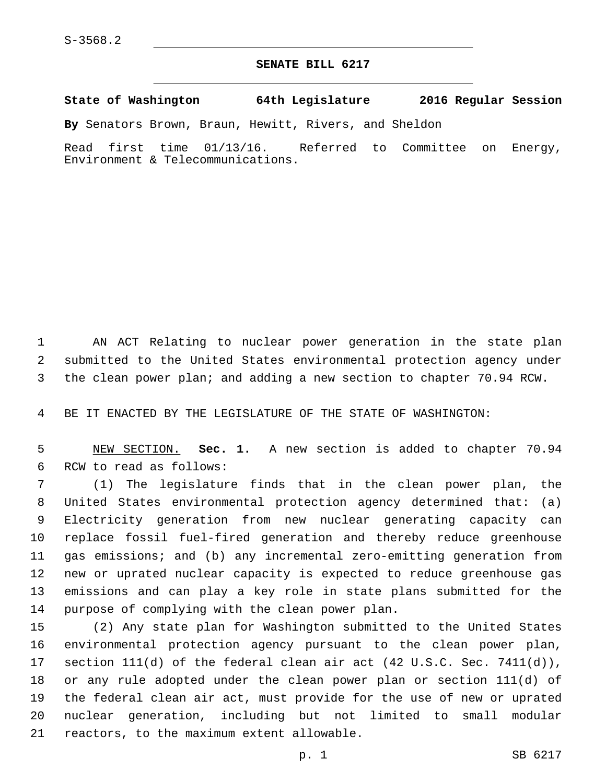## **SENATE BILL 6217**

**State of Washington 64th Legislature 2016 Regular Session**

**By** Senators Brown, Braun, Hewitt, Rivers, and Sheldon

Read first time 01/13/16. Referred to Committee on Energy, Environment & Telecommunications.

 AN ACT Relating to nuclear power generation in the state plan submitted to the United States environmental protection agency under the clean power plan; and adding a new section to chapter 70.94 RCW.

BE IT ENACTED BY THE LEGISLATURE OF THE STATE OF WASHINGTON:

 NEW SECTION. **Sec. 1.** A new section is added to chapter 70.94 6 RCW to read as follows:

 (1) The legislature finds that in the clean power plan, the United States environmental protection agency determined that: (a) Electricity generation from new nuclear generating capacity can replace fossil fuel-fired generation and thereby reduce greenhouse gas emissions; and (b) any incremental zero-emitting generation from new or uprated nuclear capacity is expected to reduce greenhouse gas emissions and can play a key role in state plans submitted for the 14 purpose of complying with the clean power plan.

 (2) Any state plan for Washington submitted to the United States environmental protection agency pursuant to the clean power plan, section 111(d) of the federal clean air act (42 U.S.C. Sec. 7411(d)), or any rule adopted under the clean power plan or section 111(d) of the federal clean air act, must provide for the use of new or uprated nuclear generation, including but not limited to small modular 21 reactors, to the maximum extent allowable.